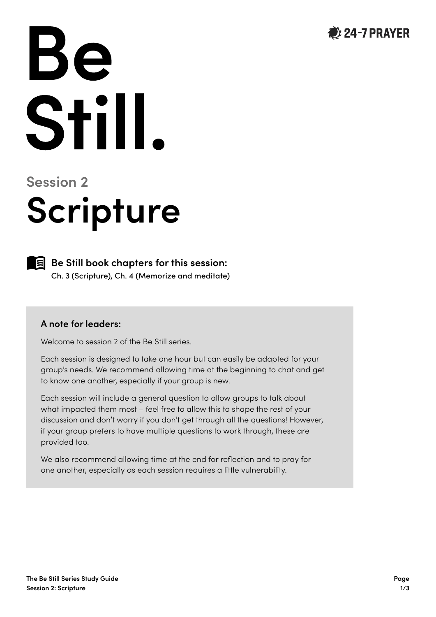

# Be Still.

# **Session 2 Scripture**



**Be Still book chapters for this session:** Ch. 3 (Scripture), Ch. 4 (Memorize and meditate)

#### **A note for leaders:**

Welcome to session 2 of the Be Still series.

Each session is designed to take one hour but can easily be adapted for your group's needs. We recommend allowing time at the beginning to chat and get to know one another, especially if your group is new.

Each session will include a general question to allow groups to talk about what impacted them most – feel free to allow this to shape the rest of your discussion and don't worry if you don't get through all the questions! However, if your group prefers to have multiple questions to work through, these are provided too.

We also recommend allowing time at the end for reflection and to pray for one another, especially as each session requires a little vulnerability.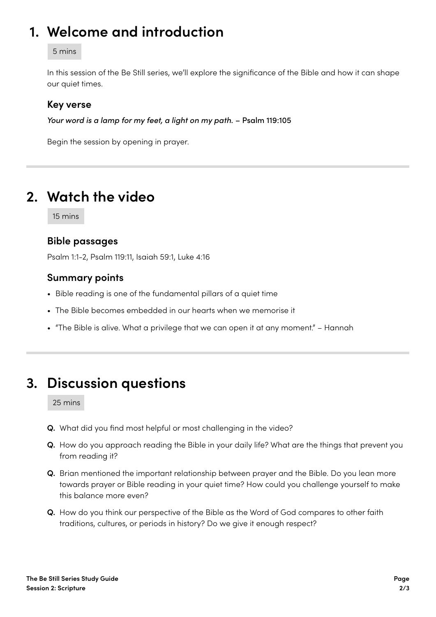# **1. Welcome and introduction**

#### 5 mins

In this session of the Be Still series, we'll explore the significance of the Bible and how it can shape our quiet times.

#### **Key verse**

*Your word is a lamp for my feet, a light on my path.* – Psalm 119:105

Begin the session by opening in prayer.

# **2. Watch the video**

15 mins

#### **Bible passages**

Psalm 1:1-2, Psalm 119:11, Isaiah 59:1, Luke 4:16

#### **Summary points**

- Bible reading is one of the fundamental pillars of a quiet time
- The Bible becomes embedded in our hearts when we memorise it
- "The Bible is alive. What a privilege that we can open it at any moment." Hannah

# **3. Discussion questions**

25 mins

- **Q.** What did you find most helpful or most challenging in the video?
- **Q.** How do you approach reading the Bible in your daily life? What are the things that prevent you from reading it?
- **Q.** Brian mentioned the important relationship between prayer and the Bible. Do you lean more towards prayer or Bible reading in your quiet time? How could you challenge yourself to make this balance more even?
- **Q.** How do you think our perspective of the Bible as the Word of God compares to other faith traditions, cultures, or periods in history? Do we give it enough respect?